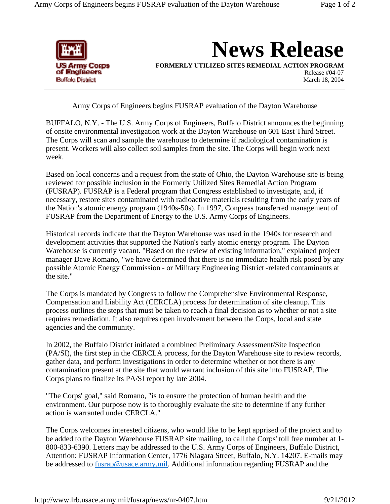

**News Release**

**FORMERLY UTILIZED SITES REMEDIAL ACTION PROGRAM**

Release #04-07 March 18, 2004

Army Corps of Engineers begins FUSRAP evaluation of the Dayton Warehouse

BUFFALO, N.Y. - The U.S. Army Corps of Engineers, Buffalo District announces the beginning of onsite environmental investigation work at the Dayton Warehouse on 601 East Third Street. The Corps will scan and sample the warehouse to determine if radiological contamination is present. Workers will also collect soil samples from the site. The Corps will begin work next week.

Based on local concerns and a request from the state of Ohio, the Dayton Warehouse site is being reviewed for possible inclusion in the Formerly Utilized Sites Remedial Action Program (FUSRAP). FUSRAP is a Federal program that Congress established to investigate, and, if necessary, restore sites contaminated with radioactive materials resulting from the early years of the Nation's atomic energy program (1940s-50s). In 1997, Congress transferred management of FUSRAP from the Department of Energy to the U.S. Army Corps of Engineers.

Historical records indicate that the Dayton Warehouse was used in the 1940s for research and development activities that supported the Nation's early atomic energy program. The Dayton Warehouse is currently vacant. "Based on the review of existing information," explained project manager Dave Romano, "we have determined that there is no immediate health risk posed by any possible Atomic Energy Commission - or Military Engineering District -related contaminants at the site."

The Corps is mandated by Congress to follow the Comprehensive Environmental Response, Compensation and Liability Act (CERCLA) process for determination of site cleanup. This process outlines the steps that must be taken to reach a final decision as to whether or not a site requires remediation. It also requires open involvement between the Corps, local and state agencies and the community.

In 2002, the Buffalo District initiated a combined Preliminary Assessment/Site Inspection (PA/SI), the first step in the CERCLA process, for the Dayton Warehouse site to review records, gather data, and perform investigations in order to determine whether or not there is any contamination present at the site that would warrant inclusion of this site into FUSRAP. The Corps plans to finalize its PA/SI report by late 2004.

"The Corps' goal," said Romano, "is to ensure the protection of human health and the environment. Our purpose now is to thoroughly evaluate the site to determine if any further action is warranted under CERCLA."

The Corps welcomes interested citizens, who would like to be kept apprised of the project and to be added to the Dayton Warehouse FUSRAP site mailing, to call the Corps' toll free number at 1- 800-833-6390. Letters may be addressed to the U.S. Army Corps of Engineers, Buffalo District, Attention: FUSRAP Information Center, 1776 Niagara Street, Buffalo, N.Y. 14207. E-mails may be addressed to fusrap@usace.army.mil. Additional information regarding FUSRAP and the